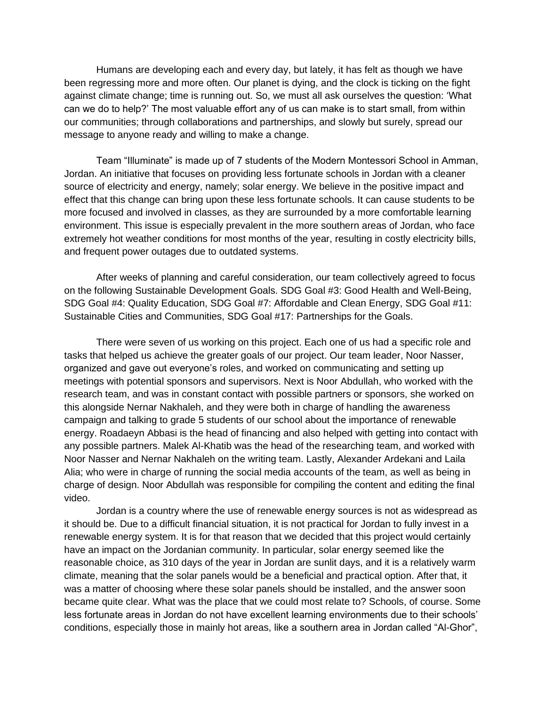Humans are developing each and every day, but lately, it has felt as though we have been regressing more and more often. Our planet is dying, and the clock is ticking on the fight against climate change; time is running out. So, we must all ask ourselves the question: 'What can we do to help?' The most valuable effort any of us can make is to start small, from within our communities; through collaborations and partnerships, and slowly but surely, spread our message to anyone ready and willing to make a change.

Team "Illuminate" is made up of 7 students of the Modern Montessori School in Amman, Jordan. An initiative that focuses on providing less fortunate schools in Jordan with a cleaner source of electricity and energy, namely; solar energy. We believe in the positive impact and effect that this change can bring upon these less fortunate schools. It can cause students to be more focused and involved in classes, as they are surrounded by a more comfortable learning environment. This issue is especially prevalent in the more southern areas of Jordan, who face extremely hot weather conditions for most months of the year, resulting in costly electricity bills, and frequent power outages due to outdated systems.

After weeks of planning and careful consideration, our team collectively agreed to focus on the following Sustainable Development Goals. SDG Goal #3: Good Health and Well-Being, SDG Goal #4: Quality Education, SDG Goal #7: Affordable and Clean Energy, SDG Goal #11: Sustainable Cities and Communities, SDG Goal #17: Partnerships for the Goals.

There were seven of us working on this project. Each one of us had a specific role and tasks that helped us achieve the greater goals of our project. Our team leader, Noor Nasser, organized and gave out everyone's roles, and worked on communicating and setting up meetings with potential sponsors and supervisors. Next is Noor Abdullah, who worked with the research team, and was in constant contact with possible partners or sponsors, she worked on this alongside Nernar Nakhaleh, and they were both in charge of handling the awareness campaign and talking to grade 5 students of our school about the importance of renewable energy. Roadaeyn Abbasi is the head of financing and also helped with getting into contact with any possible partners. Malek Al-Khatib was the head of the researching team, and worked with Noor Nasser and Nernar Nakhaleh on the writing team. Lastly, Alexander Ardekani and Laila Alia; who were in charge of running the social media accounts of the team, as well as being in charge of design. Noor Abdullah was responsible for compiling the content and editing the final video.

Jordan is a country where the use of renewable energy sources is not as widespread as it should be. Due to a difficult financial situation, it is not practical for Jordan to fully invest in a renewable energy system. It is for that reason that we decided that this project would certainly have an impact on the Jordanian community. In particular, solar energy seemed like the reasonable choice, as 310 days of the year in Jordan are sunlit days, and it is a relatively warm climate, meaning that the solar panels would be a beneficial and practical option. After that, it was a matter of choosing where these solar panels should be installed, and the answer soon became quite clear. What was the place that we could most relate to? Schools, of course. Some less fortunate areas in Jordan do not have excellent learning environments due to their schools' conditions, especially those in mainly hot areas, like a southern area in Jordan called "Al-Ghor",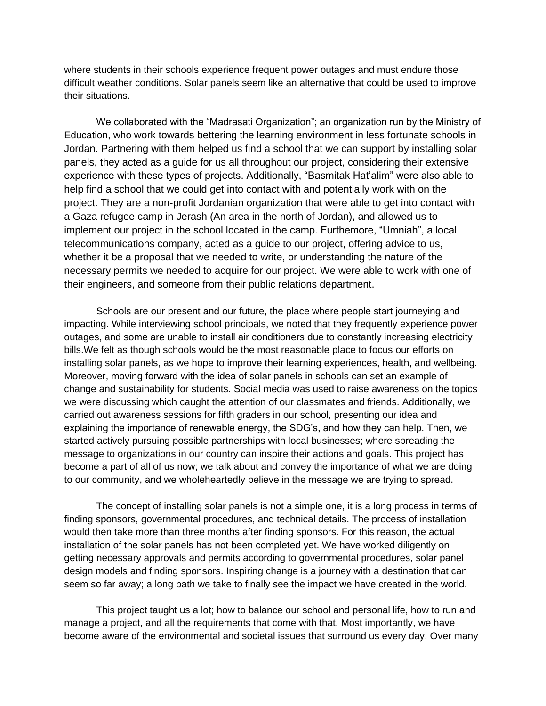where students in their schools experience frequent power outages and must endure those difficult weather conditions. Solar panels seem like an alternative that could be used to improve their situations.

We collaborated with the "Madrasati Organization"; an organization run by the Ministry of Education, who work towards bettering the learning environment in less fortunate schools in Jordan. Partnering with them helped us find a school that we can support by installing solar panels, they acted as a guide for us all throughout our project, considering their extensive experience with these types of projects. Additionally, "Basmitak Hat'alim" were also able to help find a school that we could get into contact with and potentially work with on the project. They are a non-profit Jordanian organization that were able to get into contact with a Gaza refugee camp in Jerash (An area in the north of Jordan), and allowed us to implement our project in the school located in the camp. Furthemore, "Umniah", a local telecommunications company, acted as a guide to our project, offering advice to us, whether it be a proposal that we needed to write, or understanding the nature of the necessary permits we needed to acquire for our project. We were able to work with one of their engineers, and someone from their public relations department.

Schools are our present and our future, the place where people start journeying and impacting. While interviewing school principals, we noted that they frequently experience power outages, and some are unable to install air conditioners due to constantly increasing electricity bills.We felt as though schools would be the most reasonable place to focus our efforts on installing solar panels, as we hope to improve their learning experiences, health, and wellbeing. Moreover, moving forward with the idea of solar panels in schools can set an example of change and sustainability for students. Social media was used to raise awareness on the topics we were discussing which caught the attention of our classmates and friends. Additionally, we carried out awareness sessions for fifth graders in our school, presenting our idea and explaining the importance of renewable energy, the SDG's, and how they can help. Then, we started actively pursuing possible partnerships with local businesses; where spreading the message to organizations in our country can inspire their actions and goals. This project has become a part of all of us now; we talk about and convey the importance of what we are doing to our community, and we wholeheartedly believe in the message we are trying to spread.

The concept of installing solar panels is not a simple one, it is a long process in terms of finding sponsors, governmental procedures, and technical details. The process of installation would then take more than three months after finding sponsors. For this reason, the actual installation of the solar panels has not been completed yet. We have worked diligently on getting necessary approvals and permits according to governmental procedures, solar panel design models and finding sponsors. Inspiring change is a journey with a destination that can seem so far away; a long path we take to finally see the impact we have created in the world.

This project taught us a lot; how to balance our school and personal life, how to run and manage a project, and all the requirements that come with that. Most importantly, we have become aware of the environmental and societal issues that surround us every day. Over many